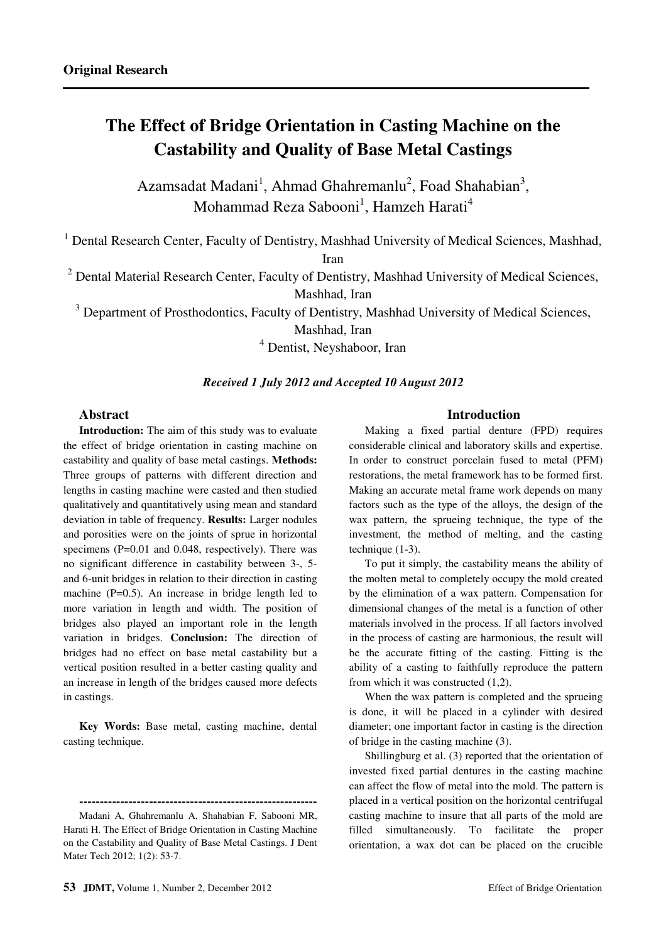# **The Effect of Bridge Orientation in Casting Machine on the Castability and Quality of Base Metal Castings**

Azamsadat Madani<sup>1</sup>, Ahmad Ghahremanlu<sup>2</sup>, Foad Shahabian<sup>3</sup>, Mohammad Reza Sabooni<sup>1</sup>, Hamzeh Harati<sup>4</sup>

<sup>1</sup> Dental Research Center, Faculty of Dentistry, Mashhad University of Medical Sciences, Mashhad,

Iran

<sup>2</sup> Dental Material Research Center, Faculty of Dentistry, Mashhad University of Medical Sciences,

Mashhad, Iran

<sup>3</sup> Department of Prosthodontics, Faculty of Dentistry, Mashhad University of Medical Sciences,

Mashhad, Iran

4 Dentist, Neyshaboor, Iran

#### *Received 1 July 2012 and Accepted 10 August 2012*

# **Abstract**

**Introduction:** The aim of this study was to evaluate the effect of bridge orientation in casting machine on castability and quality of base metal castings. **Methods:** Three groups of patterns with different direction and lengths in casting machine were casted and then studied qualitatively and quantitatively using mean and standard deviation in table of frequency. **Results:** Larger nodules and porosities were on the joints of sprue in horizontal specimens (P=0.01 and 0.048, respectively). There was no significant difference in castability between 3-, 5 and 6-unit bridges in relation to their direction in casting machine (P=0.5). An increase in bridge length led to more variation in length and width. The position of bridges also played an important role in the length variation in bridges. **Conclusion:** The direction of bridges had no effect on base metal castability but a vertical position resulted in a better casting quality and an increase in length of the bridges caused more defects in castings.

**Key Words:** Base metal, casting machine, dental casting technique.

#### **Introduction**

Making a fixed partial denture (FPD) requires considerable clinical and laboratory skills and expertise. In order to construct porcelain fused to metal (PFM) restorations, the metal framework has to be formed first. Making an accurate metal frame work depends on many factors such as the type of the alloys, the design of the wax pattern, the sprueing technique, the type of the investment, the method of melting, and the casting technique (1-3).

To put it simply, the castability means the ability of the molten metal to completely occupy the mold created by the elimination of a wax pattern. Compensation for dimensional changes of the metal is a function of other materials involved in the process. If all factors involved in the process of casting are harmonious, the result will be the accurate fitting of the casting. Fitting is the ability of a casting to faithfully reproduce the pattern from which it was constructed (1,2).

When the wax pattern is completed and the sprueing is done, it will be placed in a cylinder with desired diameter; one important factor in casting is the direction of bridge in the casting machine (3).

Shillingburg et al. (3) reported that the orientation of invested fixed partial dentures in the casting machine can affect the flow of metal into the mold. The pattern is placed in a vertical position on the horizontal centrifugal casting machine to insure that all parts of the mold are filled simultaneously. To facilitate the proper orientation, a wax dot can be placed on the crucible

**<sup>----------------------------------------------------------</sup>** 

Madani A, Ghahremanlu A, Shahabian F, Sabooni MR, Harati H. The Effect of Bridge Orientation in Casting Machine on the Castability and Quality of Base Metal Castings. J Dent Mater Tech 2012; 1(2): 53-7.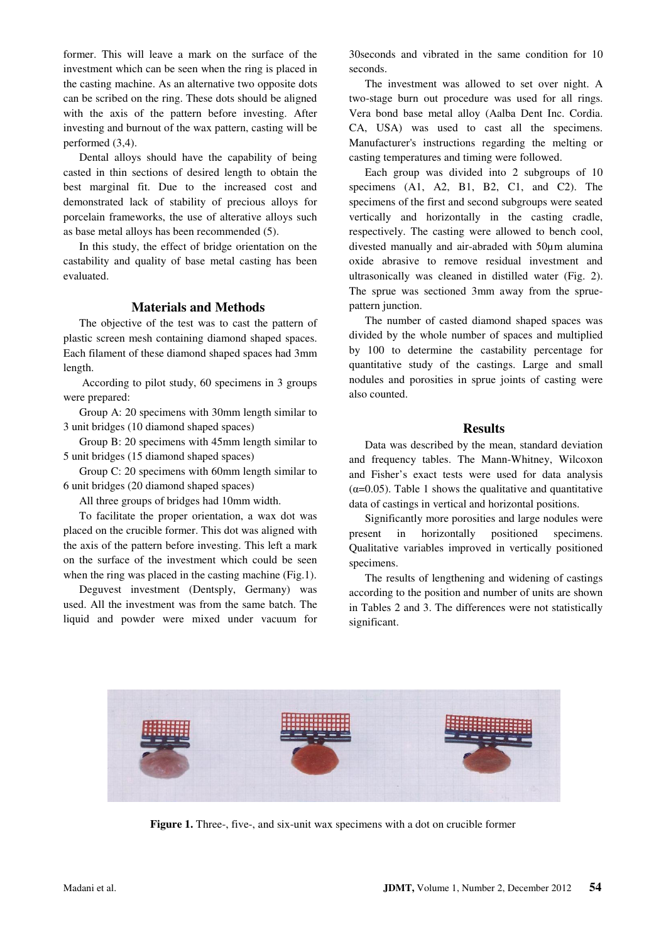former. This will leave a mark on the surface of the investment which can be seen when the ring is placed in the casting machine. As an alternative two opposite dots can be scribed on the ring. These dots should be aligned with the axis of the pattern before investing. After investing and burnout of the wax pattern, casting will be performed (3,4).

Dental alloys should have the capability of being casted in thin sections of desired length to obtain the best marginal fit. Due to the increased cost and demonstrated lack of stability of precious alloys for porcelain frameworks, the use of alterative alloys such as base metal alloys has been recommended (5).

In this study, the effect of bridge orientation on the castability and quality of base metal casting has been evaluated.

## **Materials and Methods**

The objective of the test was to cast the pattern of plastic screen mesh containing diamond shaped spaces. Each filament of these diamond shaped spaces had 3mm length.

 According to pilot study, 60 specimens in 3 groups were prepared:

Group A: 20 specimens with 30mm length similar to 3 unit bridges (10 diamond shaped spaces)

Group B: 20 specimens with 45mm length similar to 5 unit bridges (15 diamond shaped spaces)

Group C: 20 specimens with 60mm length similar to 6 unit bridges (20 diamond shaped spaces)

All three groups of bridges had 10mm width.

To facilitate the proper orientation, a wax dot was placed on the crucible former. This dot was aligned with the axis of the pattern before investing. This left a mark on the surface of the investment which could be seen when the ring was placed in the casting machine (Fig.1).

Deguvest investment (Dentsply, Germany) was used. All the investment was from the same batch. The liquid and powder were mixed under vacuum for

30seconds and vibrated in the same condition for 10 seconds.

The investment was allowed to set over night. A two-stage burn out procedure was used for all rings. Vera bond base metal alloy (Aalba Dent Inc. Cordia. CA, USA) was used to cast all the specimens. Manufacturer's instructions regarding the melting or casting temperatures and timing were followed.

Each group was divided into 2 subgroups of 10 specimens (A1, A2, B1, B2, C1, and C2). The specimens of the first and second subgroups were seated vertically and horizontally in the casting cradle, respectively. The casting were allowed to bench cool, divested manually and air-abraded with 50µm alumina oxide abrasive to remove residual investment and ultrasonically was cleaned in distilled water (Fig. 2). The sprue was sectioned 3mm away from the spruepattern junction.

The number of casted diamond shaped spaces was divided by the whole number of spaces and multiplied by 100 to determine the castability percentage for quantitative study of the castings. Large and small nodules and porosities in sprue joints of casting were also counted.

#### **Results**

Data was described by the mean, standard deviation and frequency tables. The Mann-Whitney, Wilcoxon and Fisher's exact tests were used for data analysis ( $\alpha$ =0.05). Table 1 shows the qualitative and quantitative data of castings in vertical and horizontal positions.

Significantly more porosities and large nodules were present in horizontally positioned specimens. Qualitative variables improved in vertically positioned specimens.

The results of lengthening and widening of castings according to the position and number of units are shown in Tables 2 and 3. The differences were not statistically significant.



**Figure 1.** Three-, five-, and six-unit wax specimens with a dot on crucible former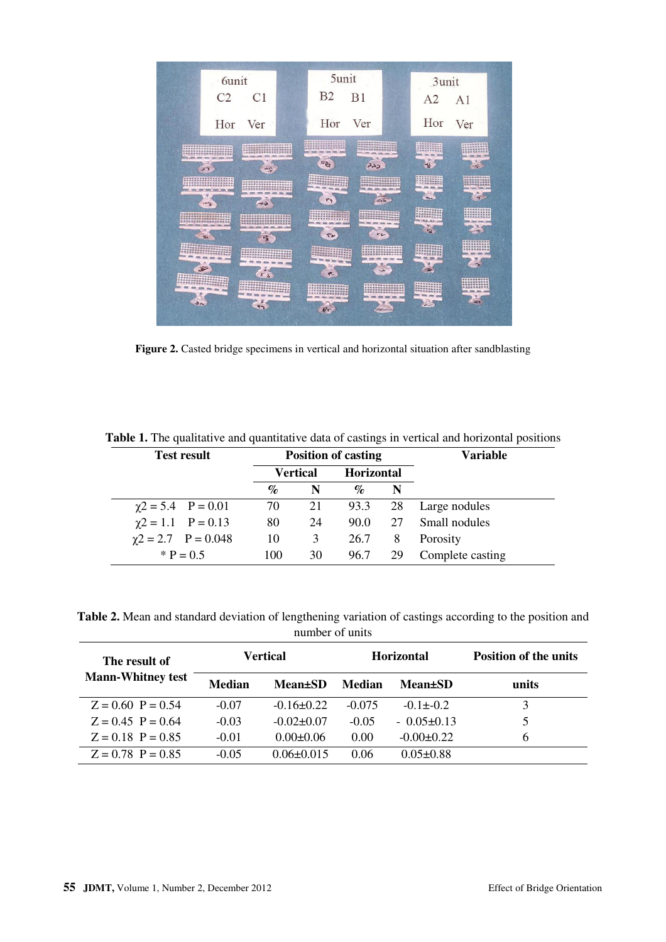

**Figure 2.** Casted bridge specimens in vertical and horizontal situation after sandblasting

| <b>Test result</b>         | <b>Position of casting</b> |                 |                   |    | <b>Variable</b>  |
|----------------------------|----------------------------|-----------------|-------------------|----|------------------|
|                            |                            | <b>Vertical</b> | <b>Horizontal</b> |    |                  |
|                            | $\%$                       | N               | $\%$              | N  |                  |
| $\chi$ 2 = 5.4 P = 0.01    | 70                         | 21              | 93.3              | 28 | Large nodules    |
| $\gamma$ 2 = 1.1 P = 0.13  | 80                         | 24              | 90.0              |    | 27 Small nodules |
| $\gamma$ 2 = 2.7 P = 0.048 | 10                         | 3               | 26.7              | 8  | Porosity         |
| $*$ P = 0.5                | 100                        | 30              | 96.7              | 29 | Complete casting |

**Table 1.** The qualitative and quantitative data of castings in vertical and horizontal positions

**Table 2.** Mean and standard deviation of lengthening variation of castings according to the position and number of units

| The result of<br><b>Mann-Whitney test</b> | Vertical      |                  |          | <b>Horizontal</b> | <b>Position of the units</b> |
|-------------------------------------------|---------------|------------------|----------|-------------------|------------------------------|
|                                           | <b>Median</b> | <b>Mean</b> ±SD  | Median   | <b>Mean</b> ±SD   | units                        |
| $Z = 0.60$ P = 0.54                       | $-0.07$       | $-0.16+0.22$     | $-0.075$ | $-0.1 + -0.2$     | 3                            |
| $Z = 0.45$ P = 0.64                       | $-0.03$       | $-0.02 \pm 0.07$ | $-0.05$  | $-0.05\pm0.13$    |                              |
| $Z = 0.18$ P = 0.85                       | $-0.01$       | $0.00 \pm 0.06$  | 0.00     | $-0.00 \pm 0.22$  | 6                            |
| $Z = 0.78$ P = 0.85                       | $-0.05$       | $0.06 + 0.015$   | 0.06     | $0.05 + 0.88$     |                              |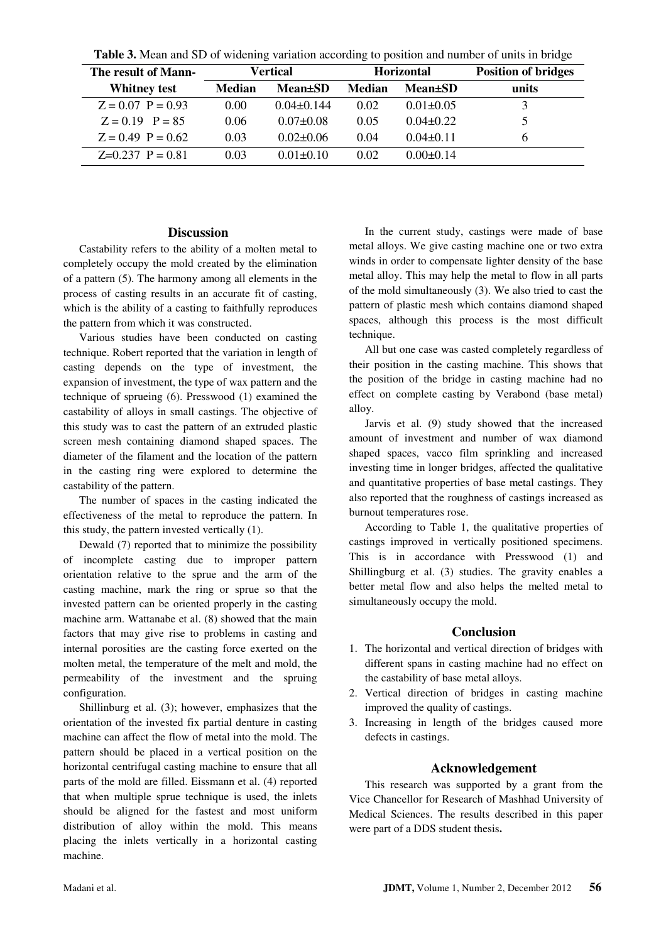| The result of Mann- | Vertical      |                             |               | <b>Horizontal</b> | <b>Position of bridges</b> |  |  |
|---------------------|---------------|-----------------------------|---------------|-------------------|----------------------------|--|--|
| <b>Whitney test</b> | <b>Median</b> | <b>Mean</b> <sup>t</sup> SD | <b>Median</b> | <b>Mean</b> ±SD   | units                      |  |  |
| $Z = 0.07$ P = 0.93 | 0.00          | $0.04\pm 0.144$             | 0.02          | $0.01 \pm 0.05$   |                            |  |  |
| $Z = 0.19$ P = 85   | 0.06          | $0.07 \pm 0.08$             | 0.05          | $0.04 \pm 0.22$   |                            |  |  |
| $Z = 0.49$ P = 0.62 | 0.03          | $0.02 \pm 0.06$             | 0.04          | $0.04 \pm 0.11$   | h                          |  |  |
| $Z=0.237$ P = 0.81  | 0.03          | $0.01 \pm 0.10$             | 0.02          | $0.00 \pm 0.14$   |                            |  |  |

**Table 3.** Mean and SD of widening variation according to position and number of units in bridge

# **Discussion**

Castability refers to the ability of a molten metal to completely occupy the mold created by the elimination of a pattern (5). The harmony among all elements in the process of casting results in an accurate fit of casting, which is the ability of a casting to faithfully reproduces the pattern from which it was constructed.

Various studies have been conducted on casting technique. Robert reported that the variation in length of casting depends on the type of investment, the expansion of investment, the type of wax pattern and the technique of sprueing (6). Presswood (1) examined the castability of alloys in small castings. The objective of this study was to cast the pattern of an extruded plastic screen mesh containing diamond shaped spaces. The diameter of the filament and the location of the pattern in the casting ring were explored to determine the castability of the pattern.

The number of spaces in the casting indicated the effectiveness of the metal to reproduce the pattern. In this study, the pattern invested vertically (1).

Dewald (7) reported that to minimize the possibility of incomplete casting due to improper pattern orientation relative to the sprue and the arm of the casting machine, mark the ring or sprue so that the invested pattern can be oriented properly in the casting machine arm. Wattanabe et al. (8) showed that the main factors that may give rise to problems in casting and internal porosities are the casting force exerted on the molten metal, the temperature of the melt and mold, the permeability of the investment and the spruing configuration.

Shillinburg et al. (3); however, emphasizes that the orientation of the invested fix partial denture in casting machine can affect the flow of metal into the mold. The pattern should be placed in a vertical position on the horizontal centrifugal casting machine to ensure that all parts of the mold are filled. Eissmann et al. (4) reported that when multiple sprue technique is used, the inlets should be aligned for the fastest and most uniform distribution of alloy within the mold. This means placing the inlets vertically in a horizontal casting machine.

In the current study, castings were made of base metal alloys. We give casting machine one or two extra winds in order to compensate lighter density of the base metal alloy. This may help the metal to flow in all parts of the mold simultaneously (3). We also tried to cast the pattern of plastic mesh which contains diamond shaped spaces, although this process is the most difficult technique.

All but one case was casted completely regardless of their position in the casting machine. This shows that the position of the bridge in casting machine had no effect on complete casting by Verabond (base metal) alloy.

Jarvis et al. (9) study showed that the increased amount of investment and number of wax diamond shaped spaces, vacco film sprinkling and increased investing time in longer bridges, affected the qualitative and quantitative properties of base metal castings. They also reported that the roughness of castings increased as burnout temperatures rose.

According to Table 1, the qualitative properties of castings improved in vertically positioned specimens. This is in accordance with Presswood (1) and Shillingburg et al. (3) studies. The gravity enables a better metal flow and also helps the melted metal to simultaneously occupy the mold.

# **Conclusion**

- 1. The horizontal and vertical direction of bridges with different spans in casting machine had no effect on the castability of base metal alloys.
- 2. Vertical direction of bridges in casting machine improved the quality of castings.
- 3. Increasing in length of the bridges caused more defects in castings.

# **Acknowledgement**

This research was supported by a grant from the Vice Chancellor for Research of Mashhad University of Medical Sciences. The results described in this paper were part of a DDS student thesis**.**